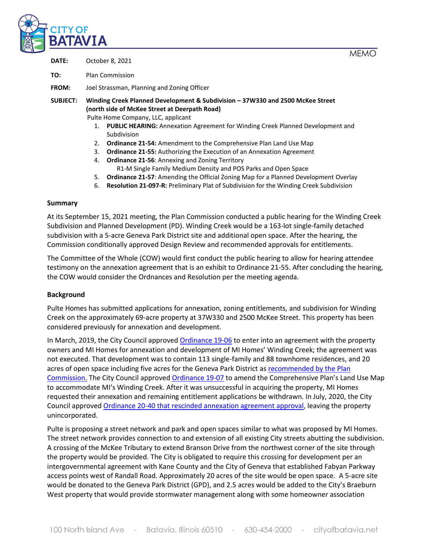

**MFMO** 

| DATE: | October 8, 2021 |
|-------|-----------------|
|       |                 |

**TO:** Plan Commission

**FROM:** Joel Strassman, Planning and Zoning Officer

**SUBJECT: Winding Creek Planned Development & Subdivision – 37W330 and 2500 McKee Street (north side of McKee Street at Deerpath Road)**

Pulte Home Company, LLC, applicant

- 1. **PUBLIC HEARING:** Annexation Agreement for Winding Creek Planned Development and Subdivision
- 2. **Ordinance 21-54:** Amendment to the Comprehensive Plan Land Use Map
- 3. **Ordinance 21-55:** Authorizing the Execution of an Annexation Agreement
- 4. **Ordinance 21-56**: Annexing and Zoning Territory R1-M Single Family Medium Density and POS Parks and Open Space
- 5. **Ordinance 21-57**: Amending the Official Zoning Map for a Planned Development Overlay
- 6. **Resolution 21-097-R:** Preliminary Plat of Subdivision for the Winding Creek Subdivision

#### **Summary**

At its September 15, 2021 meeting, the Plan Commission conducted a public hearing for the Winding Creek Subdivision and Planned Development (PD). Winding Creek would be a 163-lot single-family detached subdivision with a 5-acre Geneva Park District site and additional open space. After the hearing, the Commission conditionally approved Design Review and recommended approvals for entitlements.

The Committee of the Whole (COW) would first conduct the public hearing to allow for hearing attendee testimony on the annexation agreement that is an exhibit to Ordinance 21-55. After concluding the hearing, the COW would consider the Ordnances and Resolution per the meeting agenda.

#### **Background**

Pulte Homes has submitted applications for annexation, zoning entitlements, and subdivision for Winding Creek on the approximately 69-acre property at 37W330 and 2500 McKee Street. This property has been considered previously for annexation and development.

In March, 2019, the City Council approved [Ordinance 19-06](http://www.cityofbatavia.net/AgendaCenter/ViewFile/Item/13455?fileID=9551) to enter into an agreement with the property owners and MI Homes for annexation and development of MI Homes' Winding Creek; the agreement was not executed. That development was to contain 113 single-family and 88 townhome residences, and 20 acres of open space including five acres for the Geneva Park District a[s recommended by the Plan](http://www.cityofbatavia.net/AgendaCenter/ViewFile/Item/13106?fileID=9319)  [Commission.](http://www.cityofbatavia.net/AgendaCenter/ViewFile/Item/13106?fileID=9319) The City Council approve[d Ordinance 19-07](http://www.cityofbatavia.net/AgendaCenter/ViewFile/Item/13390?fileID=9514) to amend the Comprehensive Plan's Land Use Map to accommodate MI's Winding Creek. After it was unsuccessful in acquiring the property, MI Homes requested their annexation and remaining entitlement applications be withdrawn. In July, 2020, the City Council approved [Ordinance 20-40 that rescinded annexation agreement approval,](http://il-batavia2.civicplus.com/AgendaCenter/ViewFile/Item/15311?fileID=11499) leaving the property unincorporated.

Pulte is proposing a street network and park and open spaces similar to what was proposed by MI Homes. The street network provides connection to and extension of all existing City streets abutting the subdivision. A crossing of the McKee Tributary to extend Branson Drive from the northwest corner of the site through the property would be provided. The City is obligated to require this crossing for development per an intergovernmental agreement with Kane County and the City of Geneva that established Fabyan Parkway access points west of Randall Road. Approximately 20 acres of the site would be open space. A 5-acre site would be donated to the Geneva Park District (GPD), and 2.5 acres would be added to the City's Braeburn West property that would provide stormwater management along with some homeowner association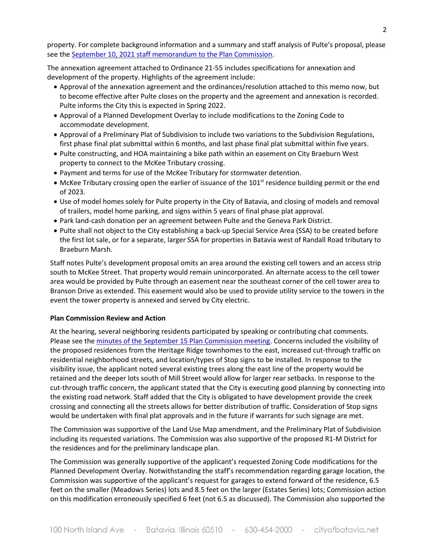property. For complete background information and a summary and staff analysis of Pulte's proposal, please see the [September 10, 2021 staff memorandum to the Plan Commission.](http://www.cityofbatavia.net/AgendaCenter/ViewFile/Item/17046?fileID=12720)

The annexation agreement attached to Ordinance 21-55 includes specifications for annexation and development of the property. Highlights of the agreement include:

- Approval of the annexation agreement and the ordinances/resolution attached to this memo now, but to become effective after Pulte closes on the property and the agreement and annexation is recorded. Pulte informs the City this is expected in Spring 2022.
- Approval of a Planned Development Overlay to include modifications to the Zoning Code to accommodate development.
- Approval of a Preliminary Plat of Subdivision to include two variations to the Subdivision Regulations, first phase final plat submittal within 6 months, and last phase final plat submittal within five years.
- Pulte constructing, and HOA maintaining a bike path within an easement on City Braeburn West property to connect to the McKee Tributary crossing.
- Payment and terms for use of the McKee Tributary for stormwater detention.
- McKee Tributary crossing open the earlier of issuance of the 101<sup>st</sup> residence building permit or the end of 2023.
- Use of model homes solely for Pulte property in the City of Batavia, and closing of models and removal of trailers, model home parking, and signs within 5 years of final phase plat approval.
- Park land-cash donation per an agreement between Pulte and the Geneva Park District.
- Pulte shall not object to the City establishing a back-up Special Service Area (SSA) to be created before the first lot sale, or for a separate, larger SSA for properties in Batavia west of Randall Road tributary to Braeburn Marsh.

Staff notes Pulte's development proposal omits an area around the existing cell towers and an access strip south to McKee Street. That property would remain unincorporated. An alternate access to the cell tower area would be provided by Pulte through an easement near the southeast corner of the cell tower area to Branson Drive as extended. This easement would also be used to provide utility service to the towers in the event the tower property is annexed and served by City electric.

#### **Plan Commission Review and Action**

At the hearing, several neighboring residents participated by speaking or contributing chat comments. Please see the [minutes of the September 15 Plan Commission meeting.](http://www.cityofbatavia.net/AgendaCenter/ViewFile/Item/17107?fileID=12749) Concerns included the visibility of the proposed residences from the Heritage Ridge townhomes to the east, increased cut-through traffic on residential neighborhood streets, and location/types of Stop signs to be installed. In response to the visibility issue, the applicant noted several existing trees along the east line of the property would be retained and the deeper lots south of Mill Street would allow for larger rear setbacks. In response to the cut-through traffic concern, the applicant stated that the City is executing good planning by connecting into the existing road network. Staff added that the City is obligated to have development provide the creek crossing and connecting all the streets allows for better distribution of traffic. Consideration of Stop signs would be undertaken with final plat approvals and in the future if warrants for such signage are met.

The Commission was supportive of the Land Use Map amendment, and the Preliminary Plat of Subdivision including its requested variations. The Commission was also supportive of the proposed R1-M District for the residences and for the preliminary landscape plan.

The Commission was generally supportive of the applicant's requested Zoning Code modifications for the Planned Development Overlay. Notwithstanding the staff's recommendation regarding garage location, the Commission was supportive of the applicant's request for garages to extend forward of the residence, 6.5 feet on the smaller (Meadows Series) lots and 8.5 feet on the larger (Estates Series) lots; Commission action on this modification erroneously specified 6 feet (not 6.5 as discussed). The Commission also supported the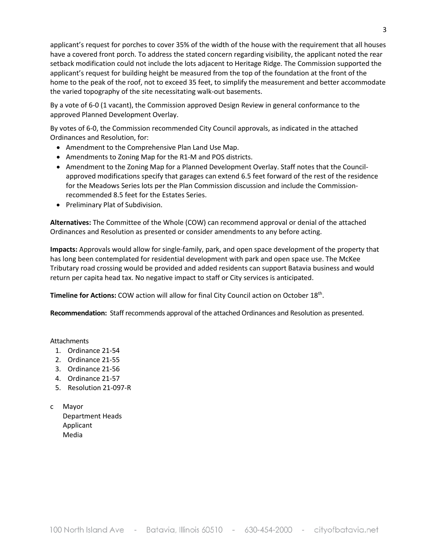applicant's request for porches to cover 35% of the width of the house with the requirement that all houses have a covered front porch. To address the stated concern regarding visibility, the applicant noted the rear setback modification could not include the lots adjacent to Heritage Ridge. The Commission supported the applicant's request for building height be measured from the top of the foundation at the front of the home to the peak of the roof, not to exceed 35 feet, to simplify the measurement and better accommodate the varied topography of the site necessitating walk-out basements.

By a vote of 6-0 (1 vacant), the Commission approved Design Review in general conformance to the approved Planned Development Overlay.

By votes of 6-0, the Commission recommended City Council approvals, as indicated in the attached Ordinances and Resolution, for:

- Amendment to the Comprehensive Plan Land Use Map.
- Amendments to Zoning Map for the R1-M and POS districts.
- Amendment to the Zoning Map for a Planned Development Overlay. Staff notes that the Councilapproved modifications specify that garages can extend 6.5 feet forward of the rest of the residence for the Meadows Series lots per the Plan Commission discussion and include the Commissionrecommended 8.5 feet for the Estates Series.
- Preliminary Plat of Subdivision.

**Alternatives:** The Committee of the Whole (COW) can recommend approval or denial of the attached Ordinances and Resolution as presented or consider amendments to any before acting.

**Impacts:** Approvals would allow for single-family, park, and open space development of the property that has long been contemplated for residential development with park and open space use. The McKee Tributary road crossing would be provided and added residents can support Batavia business and would return per capita head tax. No negative impact to staff or City services is anticipated.

Timeline for Actions: COW action will allow for final City Council action on October 18<sup>th</sup>.

**Recommendation:** Staff recommends approval of the attached Ordinances and Resolution as presented.

Attachments

- 1. Ordinance 21-54
- 2. Ordinance 21-55
- 3. Ordinance 21-56
- 4. Ordinance 21-57
- 5. Resolution 21-097-R
- c Mayor Department Heads Applicant Media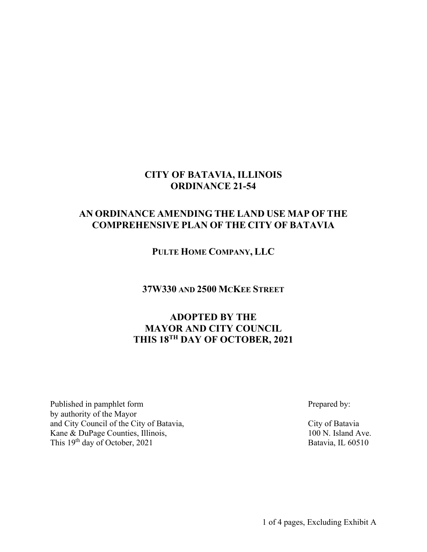### **CITY OF BATAVIA, ILLINOIS ORDINANCE 21-54**

# **AN ORDINANCE AMENDING THE LAND USE MAP OF THE COMPREHENSIVE PLAN OF THE CITY OF BATAVIA**

**PULTE HOME COMPANY, LLC**

**37W330 AND 2500 MCKEE STREET**

# **ADOPTED BY THE MAYOR AND CITY COUNCIL THIS 18TH DAY OF OCTOBER, 2021**

Published in pamphlet form Prepared by: by authority of the Mayor and City Council of the City of Batavia, City of Batavia Kane & DuPage Counties, Illinois, 100 N. Island Ave. This 19<sup>th</sup> day of October, 2021 Batavia, IL 60510

1 of 4 pages, Excluding Exhibit A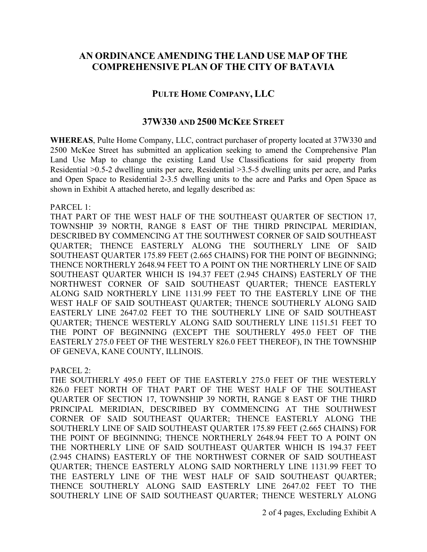## **AN ORDINANCE AMENDING THE LAND USE MAP OF THE COMPREHENSIVE PLAN OF THE CITY OF BATAVIA**

### **PULTE HOME COMPANY, LLC**

### **37W330 AND 2500 MCKEE STREET**

**WHEREAS**, Pulte Home Company, LLC, contract purchaser of property located at 37W330 and 2500 McKee Street has submitted an application seeking to amend the Comprehensive Plan Land Use Map to change the existing Land Use Classifications for said property from Residential >0.5-2 dwelling units per acre, Residential >3.5-5 dwelling units per acre, and Parks and Open Space to Residential 2-3.5 dwelling units to the acre and Parks and Open Space as shown in Exhibit A attached hereto, and legally described as:

PARCEL 1:

THAT PART OF THE WEST HALF OF THE SOUTHEAST QUARTER OF SECTION 17, TOWNSHIP 39 NORTH, RANGE 8 EAST OF THE THIRD PRINCIPAL MERIDIAN, DESCRIBED BY COMMENCING AT THE SOUTHWEST CORNER OF SAID SOUTHEAST QUARTER; THENCE EASTERLY ALONG THE SOUTHERLY LINE OF SAID SOUTHEAST QUARTER 175.89 FEET (2.665 CHAINS) FOR THE POINT OF BEGINNING; THENCE NORTHERLY 2648.94 FEET TO A POINT ON THE NORTHERLY LINE OF SAID SOUTHEAST QUARTER WHICH IS 194.37 FEET (2.945 CHAINS) EASTERLY OF THE NORTHWEST CORNER OF SAID SOUTHEAST QUARTER; THENCE EASTERLY ALONG SAID NORTHERLY LINE 1131.99 FEET TO THE EASTERLY LINE OF THE WEST HALF OF SAID SOUTHEAST QUARTER; THENCE SOUTHERLY ALONG SAID EASTERLY LINE 2647.02 FEET TO THE SOUTHERLY LINE OF SAID SOUTHEAST QUARTER; THENCE WESTERLY ALONG SAID SOUTHERLY LINE 1151.51 FEET TO THE POINT OF BEGINNING (EXCEPT THE SOUTHERLY 495.0 FEET OF THE EASTERLY 275.0 FEET OF THE WESTERLY 826.0 FEET THEREOF), IN THE TOWNSHIP OF GENEVA, KANE COUNTY, ILLINOIS.

PARCEL 2:

THE SOUTHERLY 495.0 FEET OF THE EASTERLY 275.0 FEET OF THE WESTERLY 826.0 FEET NORTH OF THAT PART OF THE WEST HALF OF THE SOUTHEAST QUARTER OF SECTION 17, TOWNSHIP 39 NORTH, RANGE 8 EAST OF THE THIRD PRINCIPAL MERIDIAN, DESCRIBED BY COMMENCING AT THE SOUTHWEST CORNER OF SAID SOUTHEAST QUARTER; THENCE EASTERLY ALONG THE SOUTHERLY LINE OF SAID SOUTHEAST QUARTER 175.89 FEET (2.665 CHAINS) FOR THE POINT OF BEGINNING; THENCE NORTHERLY 2648.94 FEET TO A POINT ON THE NORTHERLY LINE OF SAID SOUTHEAST QUARTER WHICH IS 194.37 FEET (2.945 CHAINS) EASTERLY OF THE NORTHWEST CORNER OF SAID SOUTHEAST QUARTER; THENCE EASTERLY ALONG SAID NORTHERLY LINE 1131.99 FEET TO THE EASTERLY LINE OF THE WEST HALF OF SAID SOUTHEAST QUARTER; THENCE SOUTHERLY ALONG SAID EASTERLY LINE 2647.02 FEET TO THE SOUTHERLY LINE OF SAID SOUTHEAST QUARTER; THENCE WESTERLY ALONG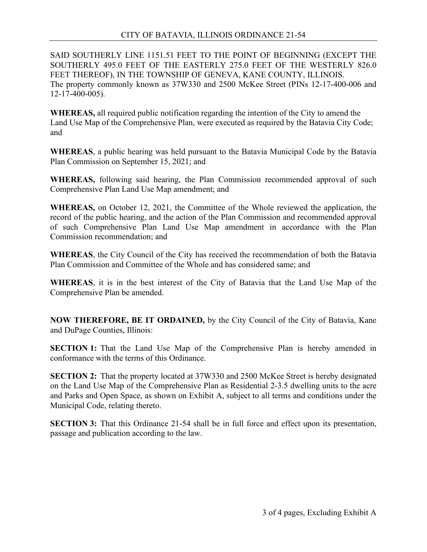SAID SOUTHERLY LINE 1151.51 FEET TO THE POINT OF BEGINNING (EXCEPT THE SOUTHERLY 495.0 FEET OF THE EASTERLY 275.0 FEET OF THE WESTERLY 826.0 FEET THEREOF), IN THE TOWNSHIP OF GENEVA, KANE COUNTY, ILLINOIS. The property commonly known as 37W330 and 2500 McKee Street (PINs 12-17-400-006 and  $12 - 17 - 400 - 005$ ).

**WHEREAS,** all required public notification regarding the intention of the City to amend the Land Use Map of the Comprehensive Plan, were executed as required by the Batavia City Code; and

**WHEREAS**, a public hearing was held pursuant to the Batavia Municipal Code by the Batavia Plan Commission on September 15, 2021; and

**WHEREAS,** following said hearing, the Plan Commission recommended approval of such Comprehensive Plan Land Use Map amendment; and

**WHEREAS,** on October 12, 2021, the Committee of the Whole reviewed the application, the record of the public hearing, and the action of the Plan Commission and recommended approval of such Comprehensive Plan Land Use Map amendment in accordance with the Plan Commission recommendation; and

**WHEREAS**, the City Council of the City has received the recommendation of both the Batavia Plan Commission and Committee of the Whole and has considered same; and

**WHEREAS**, it is in the best interest of the City of Batavia that the Land Use Map of the Comprehensive Plan be amended.

**NOW THEREFORE, BE IT ORDAINED,** by the City Council of the City of Batavia, Kane and DuPage Counties, Illinois:

**SECTION 1:** That the Land Use Map of the Comprehensive Plan is hereby amended in conformance with the terms of this Ordinance.

**SECTION 2:** That the property located at 37W330 and 2500 McKee Street is hereby designated on the Land Use Map of the Comprehensive Plan as Residential 2-3.5 dwelling units to the acre and Parks and Open Space, as shown on Exhibit A, subject to all terms and conditions under the Municipal Code, relating thereto.

**SECTION 3:** That this Ordinance 21-54 shall be in full force and effect upon its presentation, passage and publication according to the law.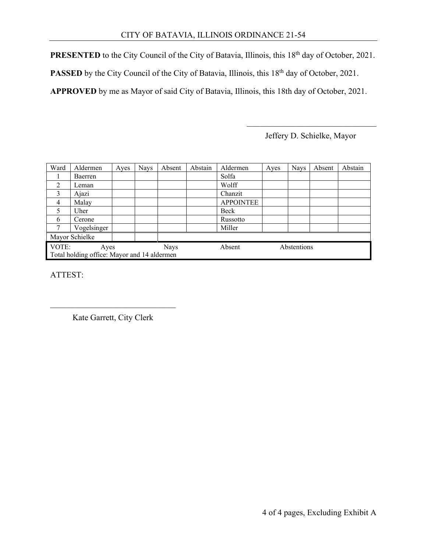**PRESENTED** to the City Council of the City of Batavia, Illinois, this 18<sup>th</sup> day of October, 2021.

**PASSED** by the City Council of the City of Batavia, Illinois, this 18<sup>th</sup> day of October, 2021.

**APPROVED** by me as Mayor of said City of Batavia, Illinois, this 18th day of October, 2021.

Jeffery D. Schielke, Mayor

| Ward                                        | Aldermen    | Ayes        | <b>Nays</b> | Absent | Abstain | Aldermen         | Ayes | <b>Nays</b> | Absent | Abstain |  |
|---------------------------------------------|-------------|-------------|-------------|--------|---------|------------------|------|-------------|--------|---------|--|
|                                             | Baerren     |             |             |        |         | Solfa            |      |             |        |         |  |
| 2                                           | Leman       |             |             |        |         | Wolff            |      |             |        |         |  |
| 3                                           | Ajazi       |             |             |        |         | Chanzit          |      |             |        |         |  |
| $\overline{4}$                              | Malay       |             |             |        |         | <b>APPOINTEE</b> |      |             |        |         |  |
| 5                                           | Uher        |             |             |        |         | Beck             |      |             |        |         |  |
| 6                                           | Cerone      |             |             |        |         | Russotto         |      |             |        |         |  |
| 7                                           | Vogelsinger |             |             |        |         | Miller           |      |             |        |         |  |
| Mayor Schielke                              |             |             |             |        |         |                  |      |             |        |         |  |
| VOTE:<br>Ayes                               |             | <b>Nays</b> |             | Absent |         | Abstentions      |      |             |        |         |  |
| Total holding office: Mayor and 14 aldermen |             |             |             |        |         |                  |      |             |        |         |  |

ATTEST:

 $\overline{\phantom{a}}$ Kate Garrett, City Clerk